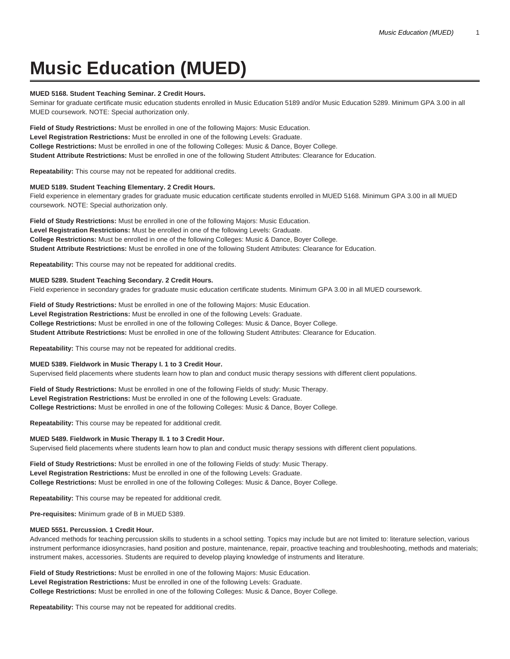# **Music Education (MUED)**

## **MUED 5168. Student Teaching Seminar. 2 Credit Hours.**

Seminar for graduate certificate music education students enrolled in Music Education 5189 and/or Music Education 5289. Minimum GPA 3.00 in all MUED coursework. NOTE: Special authorization only.

**Field of Study Restrictions:** Must be enrolled in one of the following Majors: Music Education. **Level Registration Restrictions:** Must be enrolled in one of the following Levels: Graduate. **College Restrictions:** Must be enrolled in one of the following Colleges: Music & Dance, Boyer College. **Student Attribute Restrictions:** Must be enrolled in one of the following Student Attributes: Clearance for Education.

**Repeatability:** This course may not be repeated for additional credits.

# **MUED 5189. Student Teaching Elementary. 2 Credit Hours.**

Field experience in elementary grades for graduate music education certificate students enrolled in MUED 5168. Minimum GPA 3.00 in all MUED coursework. NOTE: Special authorization only.

**Field of Study Restrictions:** Must be enrolled in one of the following Majors: Music Education. **Level Registration Restrictions:** Must be enrolled in one of the following Levels: Graduate. **College Restrictions:** Must be enrolled in one of the following Colleges: Music & Dance, Boyer College. **Student Attribute Restrictions:** Must be enrolled in one of the following Student Attributes: Clearance for Education.

**Repeatability:** This course may not be repeated for additional credits.

## **MUED 5289. Student Teaching Secondary. 2 Credit Hours.**

Field experience in secondary grades for graduate music education certificate students. Minimum GPA 3.00 in all MUED coursework.

**Field of Study Restrictions:** Must be enrolled in one of the following Majors: Music Education. **Level Registration Restrictions:** Must be enrolled in one of the following Levels: Graduate. **College Restrictions:** Must be enrolled in one of the following Colleges: Music & Dance, Boyer College. **Student Attribute Restrictions:** Must be enrolled in one of the following Student Attributes: Clearance for Education.

**Repeatability:** This course may not be repeated for additional credits.

## **MUED 5389. Fieldwork in Music Therapy I. 1 to 3 Credit Hour.**

Supervised field placements where students learn how to plan and conduct music therapy sessions with different client populations.

**Field of Study Restrictions:** Must be enrolled in one of the following Fields of study: Music Therapy. **Level Registration Restrictions:** Must be enrolled in one of the following Levels: Graduate. **College Restrictions:** Must be enrolled in one of the following Colleges: Music & Dance, Boyer College.

**Repeatability:** This course may be repeated for additional credit.

## **MUED 5489. Fieldwork in Music Therapy II. 1 to 3 Credit Hour.**

Supervised field placements where students learn how to plan and conduct music therapy sessions with different client populations.

**Field of Study Restrictions:** Must be enrolled in one of the following Fields of study: Music Therapy. **Level Registration Restrictions:** Must be enrolled in one of the following Levels: Graduate. **College Restrictions:** Must be enrolled in one of the following Colleges: Music & Dance, Boyer College.

**Repeatability:** This course may be repeated for additional credit.

**Pre-requisites:** Minimum grade of B in MUED 5389.

# **MUED 5551. Percussion. 1 Credit Hour.**

Advanced methods for teaching percussion skills to students in a school setting. Topics may include but are not limited to: literature selection, various instrument performance idiosyncrasies, hand position and posture, maintenance, repair, proactive teaching and troubleshooting, methods and materials; instrument makes, accessories. Students are required to develop playing knowledge of instruments and literature.

**Field of Study Restrictions:** Must be enrolled in one of the following Majors: Music Education. **Level Registration Restrictions:** Must be enrolled in one of the following Levels: Graduate. **College Restrictions:** Must be enrolled in one of the following Colleges: Music & Dance, Boyer College.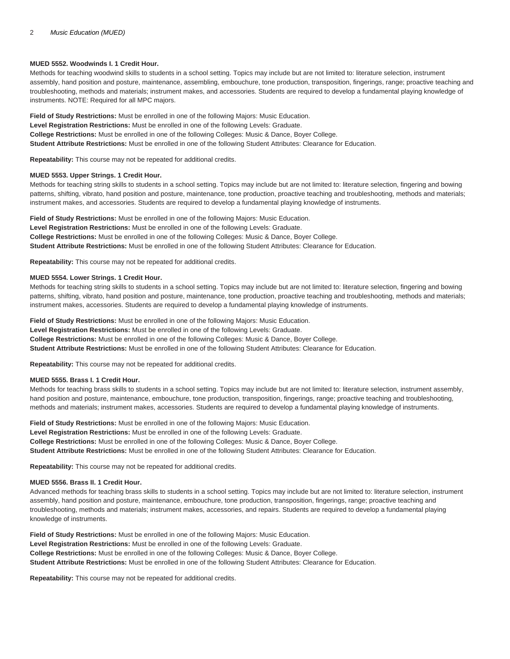# **MUED 5552. Woodwinds I. 1 Credit Hour.**

Methods for teaching woodwind skills to students in a school setting. Topics may include but are not limited to: literature selection, instrument assembly, hand position and posture, maintenance, assembling, embouchure, tone production, transposition, fingerings, range; proactive teaching and troubleshooting, methods and materials; instrument makes, and accessories. Students are required to develop a fundamental playing knowledge of instruments. NOTE: Required for all MPC majors.

**Field of Study Restrictions:** Must be enrolled in one of the following Majors: Music Education. **Level Registration Restrictions:** Must be enrolled in one of the following Levels: Graduate. **College Restrictions:** Must be enrolled in one of the following Colleges: Music & Dance, Boyer College. **Student Attribute Restrictions:** Must be enrolled in one of the following Student Attributes: Clearance for Education.

**Repeatability:** This course may not be repeated for additional credits.

# **MUED 5553. Upper Strings. 1 Credit Hour.**

Methods for teaching string skills to students in a school setting. Topics may include but are not limited to: literature selection, fingering and bowing patterns, shifting, vibrato, hand position and posture, maintenance, tone production, proactive teaching and troubleshooting, methods and materials; instrument makes, and accessories. Students are required to develop a fundamental playing knowledge of instruments.

**Field of Study Restrictions:** Must be enrolled in one of the following Majors: Music Education. **Level Registration Restrictions:** Must be enrolled in one of the following Levels: Graduate. **College Restrictions:** Must be enrolled in one of the following Colleges: Music & Dance, Boyer College. **Student Attribute Restrictions:** Must be enrolled in one of the following Student Attributes: Clearance for Education.

**Repeatability:** This course may not be repeated for additional credits.

# **MUED 5554. Lower Strings. 1 Credit Hour.**

Methods for teaching string skills to students in a school setting. Topics may include but are not limited to: literature selection, fingering and bowing patterns, shifting, vibrato, hand position and posture, maintenance, tone production, proactive teaching and troubleshooting, methods and materials; instrument makes, accessories. Students are required to develop a fundamental playing knowledge of instruments.

**Field of Study Restrictions:** Must be enrolled in one of the following Majors: Music Education. **Level Registration Restrictions:** Must be enrolled in one of the following Levels: Graduate. **College Restrictions:** Must be enrolled in one of the following Colleges: Music & Dance, Boyer College. **Student Attribute Restrictions:** Must be enrolled in one of the following Student Attributes: Clearance for Education.

**Repeatability:** This course may not be repeated for additional credits.

# **MUED 5555. Brass I. 1 Credit Hour.**

Methods for teaching brass skills to students in a school setting. Topics may include but are not limited to: literature selection, instrument assembly, hand position and posture, maintenance, embouchure, tone production, transposition, fingerings, range; proactive teaching and troubleshooting, methods and materials; instrument makes, accessories. Students are required to develop a fundamental playing knowledge of instruments.

**Field of Study Restrictions:** Must be enrolled in one of the following Majors: Music Education. **Level Registration Restrictions:** Must be enrolled in one of the following Levels: Graduate. **College Restrictions:** Must be enrolled in one of the following Colleges: Music & Dance, Boyer College. **Student Attribute Restrictions:** Must be enrolled in one of the following Student Attributes: Clearance for Education.

**Repeatability:** This course may not be repeated for additional credits.

# **MUED 5556. Brass II. 1 Credit Hour.**

Advanced methods for teaching brass skills to students in a school setting. Topics may include but are not limited to: literature selection, instrument assembly, hand position and posture, maintenance, embouchure, tone production, transposition, fingerings, range; proactive teaching and troubleshooting, methods and materials; instrument makes, accessories, and repairs. Students are required to develop a fundamental playing knowledge of instruments.

**Field of Study Restrictions:** Must be enrolled in one of the following Majors: Music Education. **Level Registration Restrictions:** Must be enrolled in one of the following Levels: Graduate. **College Restrictions:** Must be enrolled in one of the following Colleges: Music & Dance, Boyer College. **Student Attribute Restrictions:** Must be enrolled in one of the following Student Attributes: Clearance for Education.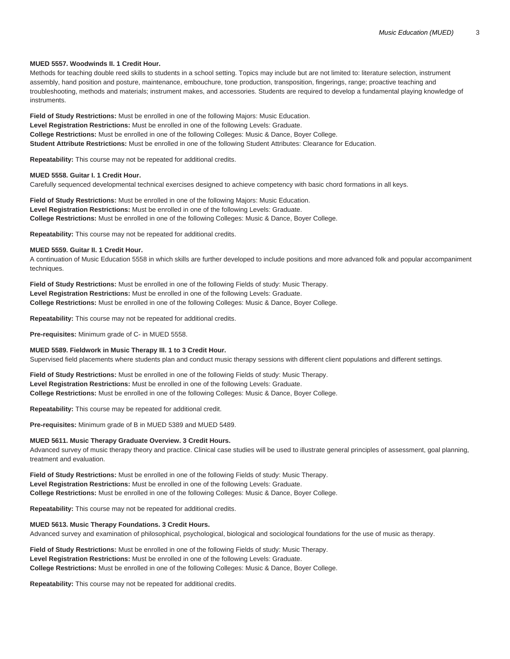# **MUED 5557. Woodwinds II. 1 Credit Hour.**

Methods for teaching double reed skills to students in a school setting. Topics may include but are not limited to: literature selection, instrument assembly, hand position and posture, maintenance, embouchure, tone production, transposition, fingerings, range; proactive teaching and troubleshooting, methods and materials; instrument makes, and accessories. Students are required to develop a fundamental playing knowledge of instruments.

**Field of Study Restrictions:** Must be enrolled in one of the following Majors: Music Education. **Level Registration Restrictions:** Must be enrolled in one of the following Levels: Graduate. **College Restrictions:** Must be enrolled in one of the following Colleges: Music & Dance, Boyer College. **Student Attribute Restrictions:** Must be enrolled in one of the following Student Attributes: Clearance for Education.

**Repeatability:** This course may not be repeated for additional credits.

## **MUED 5558. Guitar I. 1 Credit Hour.**

Carefully sequenced developmental technical exercises designed to achieve competency with basic chord formations in all keys.

**Field of Study Restrictions:** Must be enrolled in one of the following Majors: Music Education. **Level Registration Restrictions:** Must be enrolled in one of the following Levels: Graduate. **College Restrictions:** Must be enrolled in one of the following Colleges: Music & Dance, Boyer College.

**Repeatability:** This course may not be repeated for additional credits.

## **MUED 5559. Guitar II. 1 Credit Hour.**

A continuation of Music Education 5558 in which skills are further developed to include positions and more advanced folk and popular accompaniment techniques.

**Field of Study Restrictions:** Must be enrolled in one of the following Fields of study: Music Therapy. **Level Registration Restrictions:** Must be enrolled in one of the following Levels: Graduate. **College Restrictions:** Must be enrolled in one of the following Colleges: Music & Dance, Boyer College.

**Repeatability:** This course may not be repeated for additional credits.

**Pre-requisites:** Minimum grade of C- in MUED 5558.

## **MUED 5589. Fieldwork in Music Therapy III. 1 to 3 Credit Hour.**

Supervised field placements where students plan and conduct music therapy sessions with different client populations and different settings.

**Field of Study Restrictions:** Must be enrolled in one of the following Fields of study: Music Therapy. **Level Registration Restrictions:** Must be enrolled in one of the following Levels: Graduate. **College Restrictions:** Must be enrolled in one of the following Colleges: Music & Dance, Boyer College.

**Repeatability:** This course may be repeated for additional credit.

**Pre-requisites:** Minimum grade of B in MUED 5389 and MUED 5489.

# **MUED 5611. Music Therapy Graduate Overview. 3 Credit Hours.**

Advanced survey of music therapy theory and practice. Clinical case studies will be used to illustrate general principles of assessment, goal planning, treatment and evaluation.

**Field of Study Restrictions:** Must be enrolled in one of the following Fields of study: Music Therapy. **Level Registration Restrictions:** Must be enrolled in one of the following Levels: Graduate. **College Restrictions:** Must be enrolled in one of the following Colleges: Music & Dance, Boyer College.

**Repeatability:** This course may not be repeated for additional credits.

# **MUED 5613. Music Therapy Foundations. 3 Credit Hours.**

Advanced survey and examination of philosophical, psychological, biological and sociological foundations for the use of music as therapy.

**Field of Study Restrictions:** Must be enrolled in one of the following Fields of study: Music Therapy. **Level Registration Restrictions:** Must be enrolled in one of the following Levels: Graduate. **College Restrictions:** Must be enrolled in one of the following Colleges: Music & Dance, Boyer College.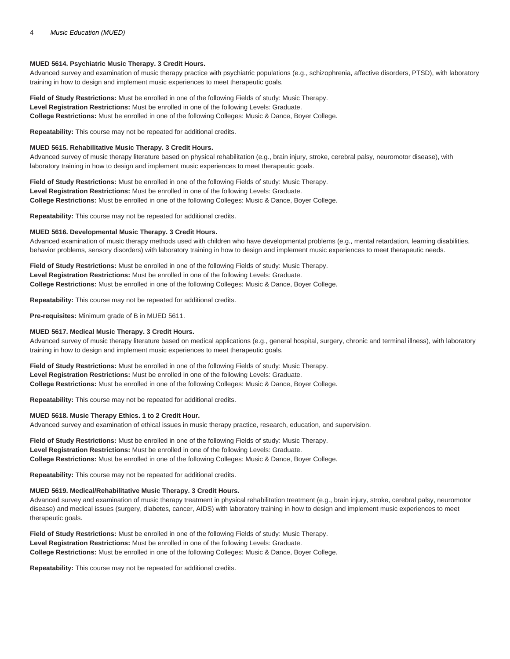# **MUED 5614. Psychiatric Music Therapy. 3 Credit Hours.**

Advanced survey and examination of music therapy practice with psychiatric populations (e.g., schizophrenia, affective disorders, PTSD), with laboratory training in how to design and implement music experiences to meet therapeutic goals.

**Field of Study Restrictions:** Must be enrolled in one of the following Fields of study: Music Therapy. **Level Registration Restrictions:** Must be enrolled in one of the following Levels: Graduate. **College Restrictions:** Must be enrolled in one of the following Colleges: Music & Dance, Boyer College.

**Repeatability:** This course may not be repeated for additional credits.

## **MUED 5615. Rehabilitative Music Therapy. 3 Credit Hours.**

Advanced survey of music therapy literature based on physical rehabilitation (e.g., brain injury, stroke, cerebral palsy, neuromotor disease), with laboratory training in how to design and implement music experiences to meet therapeutic goals.

**Field of Study Restrictions:** Must be enrolled in one of the following Fields of study: Music Therapy. **Level Registration Restrictions:** Must be enrolled in one of the following Levels: Graduate. **College Restrictions:** Must be enrolled in one of the following Colleges: Music & Dance, Boyer College.

**Repeatability:** This course may not be repeated for additional credits.

## **MUED 5616. Developmental Music Therapy. 3 Credit Hours.**

Advanced examination of music therapy methods used with children who have developmental problems (e.g., mental retardation, learning disabilities, behavior problems, sensory disorders) with laboratory training in how to design and implement music experiences to meet therapeutic needs.

**Field of Study Restrictions:** Must be enrolled in one of the following Fields of study: Music Therapy. **Level Registration Restrictions:** Must be enrolled in one of the following Levels: Graduate. **College Restrictions:** Must be enrolled in one of the following Colleges: Music & Dance, Boyer College.

**Repeatability:** This course may not be repeated for additional credits.

**Pre-requisites:** Minimum grade of B in MUED 5611.

## **MUED 5617. Medical Music Therapy. 3 Credit Hours.**

Advanced survey of music therapy literature based on medical applications (e.g., general hospital, surgery, chronic and terminal illness), with laboratory training in how to design and implement music experiences to meet therapeutic goals.

**Field of Study Restrictions:** Must be enrolled in one of the following Fields of study: Music Therapy. **Level Registration Restrictions:** Must be enrolled in one of the following Levels: Graduate. **College Restrictions:** Must be enrolled in one of the following Colleges: Music & Dance, Boyer College.

**Repeatability:** This course may not be repeated for additional credits.

## **MUED 5618. Music Therapy Ethics. 1 to 2 Credit Hour.**

Advanced survey and examination of ethical issues in music therapy practice, research, education, and supervision.

**Field of Study Restrictions:** Must be enrolled in one of the following Fields of study: Music Therapy. **Level Registration Restrictions:** Must be enrolled in one of the following Levels: Graduate. **College Restrictions:** Must be enrolled in one of the following Colleges: Music & Dance, Boyer College.

**Repeatability:** This course may not be repeated for additional credits.

# **MUED 5619. Medical/Rehabilitative Music Therapy. 3 Credit Hours.**

Advanced survey and examination of music therapy treatment in physical rehabilitation treatment (e.g., brain injury, stroke, cerebral palsy, neuromotor disease) and medical issues (surgery, diabetes, cancer, AIDS) with laboratory training in how to design and implement music experiences to meet therapeutic goals.

**Field of Study Restrictions:** Must be enrolled in one of the following Fields of study: Music Therapy. **Level Registration Restrictions:** Must be enrolled in one of the following Levels: Graduate. **College Restrictions:** Must be enrolled in one of the following Colleges: Music & Dance, Boyer College.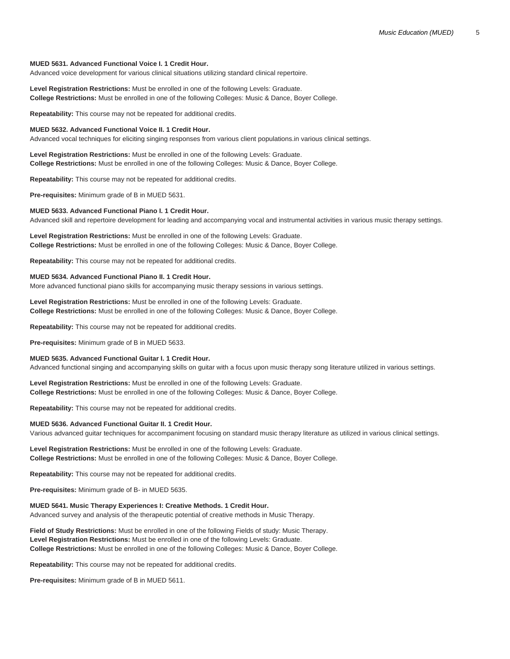## **MUED 5631. Advanced Functional Voice I. 1 Credit Hour.**

Advanced voice development for various clinical situations utilizing standard clinical repertoire.

**Level Registration Restrictions:** Must be enrolled in one of the following Levels: Graduate. **College Restrictions:** Must be enrolled in one of the following Colleges: Music & Dance, Boyer College.

**Repeatability:** This course may not be repeated for additional credits.

#### **MUED 5632. Advanced Functional Voice II. 1 Credit Hour.**

Advanced vocal techniques for eliciting singing responses from various client populations.in various clinical settings.

**Level Registration Restrictions:** Must be enrolled in one of the following Levels: Graduate. **College Restrictions:** Must be enrolled in one of the following Colleges: Music & Dance, Boyer College.

**Repeatability:** This course may not be repeated for additional credits.

**Pre-requisites:** Minimum grade of B in MUED 5631.

# **MUED 5633. Advanced Functional Piano I. 1 Credit Hour.**

Advanced skill and repertoire development for leading and accompanying vocal and instrumental activities in various music therapy settings.

**Level Registration Restrictions:** Must be enrolled in one of the following Levels: Graduate. **College Restrictions:** Must be enrolled in one of the following Colleges: Music & Dance, Boyer College.

**Repeatability:** This course may not be repeated for additional credits.

## **MUED 5634. Advanced Functional Piano II. 1 Credit Hour.**

More advanced functional piano skills for accompanying music therapy sessions in various settings.

**Level Registration Restrictions:** Must be enrolled in one of the following Levels: Graduate. **College Restrictions:** Must be enrolled in one of the following Colleges: Music & Dance, Boyer College.

**Repeatability:** This course may not be repeated for additional credits.

**Pre-requisites:** Minimum grade of B in MUED 5633.

## **MUED 5635. Advanced Functional Guitar I. 1 Credit Hour.**

Advanced functional singing and accompanying skills on guitar with a focus upon music therapy song literature utilized in various settings.

**Level Registration Restrictions:** Must be enrolled in one of the following Levels: Graduate. **College Restrictions:** Must be enrolled in one of the following Colleges: Music & Dance, Boyer College.

**Repeatability:** This course may not be repeated for additional credits.

## **MUED 5636. Advanced Functional Guitar II. 1 Credit Hour.**

Various advanced guitar techniques for accompaniment focusing on standard music therapy literature as utilized in various clinical settings.

**Level Registration Restrictions:** Must be enrolled in one of the following Levels: Graduate. **College Restrictions:** Must be enrolled in one of the following Colleges: Music & Dance, Boyer College.

**Repeatability:** This course may not be repeated for additional credits.

**Pre-requisites:** Minimum grade of B- in MUED 5635.

# **MUED 5641. Music Therapy Experiences I: Creative Methods. 1 Credit Hour.**

Advanced survey and analysis of the therapeutic potential of creative methods in Music Therapy.

**Field of Study Restrictions:** Must be enrolled in one of the following Fields of study: Music Therapy. **Level Registration Restrictions:** Must be enrolled in one of the following Levels: Graduate. **College Restrictions:** Must be enrolled in one of the following Colleges: Music & Dance, Boyer College.

**Repeatability:** This course may not be repeated for additional credits.

**Pre-requisites:** Minimum grade of B in MUED 5611.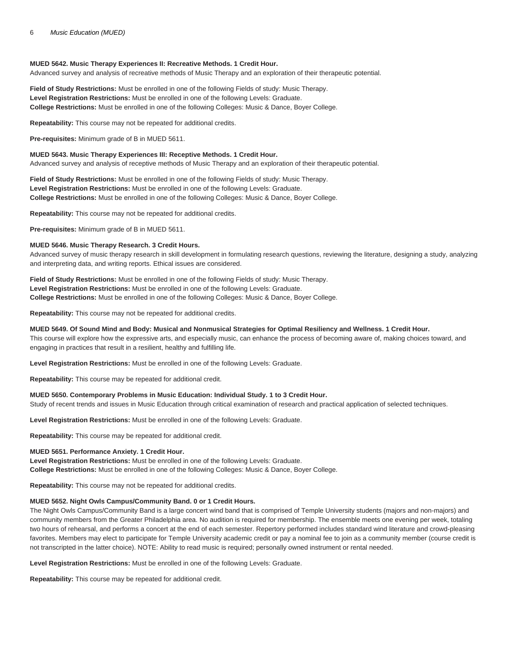## **MUED 5642. Music Therapy Experiences II: Recreative Methods. 1 Credit Hour.**

Advanced survey and analysis of recreative methods of Music Therapy and an exploration of their therapeutic potential.

**Field of Study Restrictions:** Must be enrolled in one of the following Fields of study: Music Therapy. **Level Registration Restrictions:** Must be enrolled in one of the following Levels: Graduate. **College Restrictions:** Must be enrolled in one of the following Colleges: Music & Dance, Boyer College.

**Repeatability:** This course may not be repeated for additional credits.

**Pre-requisites:** Minimum grade of B in MUED 5611.

## **MUED 5643. Music Therapy Experiences III: Receptive Methods. 1 Credit Hour.**

Advanced survey and analysis of receptive methods of Music Therapy and an exploration of their therapeutic potential.

**Field of Study Restrictions:** Must be enrolled in one of the following Fields of study: Music Therapy. **Level Registration Restrictions:** Must be enrolled in one of the following Levels: Graduate. **College Restrictions:** Must be enrolled in one of the following Colleges: Music & Dance, Boyer College.

**Repeatability:** This course may not be repeated for additional credits.

**Pre-requisites:** Minimum grade of B in MUED 5611.

## **MUED 5646. Music Therapy Research. 3 Credit Hours.**

Advanced survey of music therapy research in skill development in formulating research questions, reviewing the literature, designing a study, analyzing and interpreting data, and writing reports. Ethical issues are considered.

**Field of Study Restrictions:** Must be enrolled in one of the following Fields of study: Music Therapy. **Level Registration Restrictions:** Must be enrolled in one of the following Levels: Graduate. **College Restrictions:** Must be enrolled in one of the following Colleges: Music & Dance, Boyer College.

**Repeatability:** This course may not be repeated for additional credits.

## **MUED 5649. Of Sound Mind and Body: Musical and Nonmusical Strategies for Optimal Resiliency and Wellness. 1 Credit Hour.**

This course will explore how the expressive arts, and especially music, can enhance the process of becoming aware of, making choices toward, and engaging in practices that result in a resilient, healthy and fulfilling life.

**Level Registration Restrictions:** Must be enrolled in one of the following Levels: Graduate.

**Repeatability:** This course may be repeated for additional credit.

## **MUED 5650. Contemporary Problems in Music Education: Individual Study. 1 to 3 Credit Hour.**

Study of recent trends and issues in Music Education through critical examination of research and practical application of selected techniques.

**Level Registration Restrictions:** Must be enrolled in one of the following Levels: Graduate.

**Repeatability:** This course may be repeated for additional credit.

## **MUED 5651. Performance Anxiety. 1 Credit Hour.**

**Level Registration Restrictions:** Must be enrolled in one of the following Levels: Graduate. **College Restrictions:** Must be enrolled in one of the following Colleges: Music & Dance, Boyer College.

**Repeatability:** This course may not be repeated for additional credits.

## **MUED 5652. Night Owls Campus/Community Band. 0 or 1 Credit Hours.**

The Night Owls Campus/Community Band is a large concert wind band that is comprised of Temple University students (majors and non-majors) and community members from the Greater Philadelphia area. No audition is required for membership. The ensemble meets one evening per week, totaling two hours of rehearsal, and performs a concert at the end of each semester. Repertory performed includes standard wind literature and crowd-pleasing favorites. Members may elect to participate for Temple University academic credit or pay a nominal fee to join as a community member (course credit is not transcripted in the latter choice). NOTE: Ability to read music is required; personally owned instrument or rental needed.

**Level Registration Restrictions:** Must be enrolled in one of the following Levels: Graduate.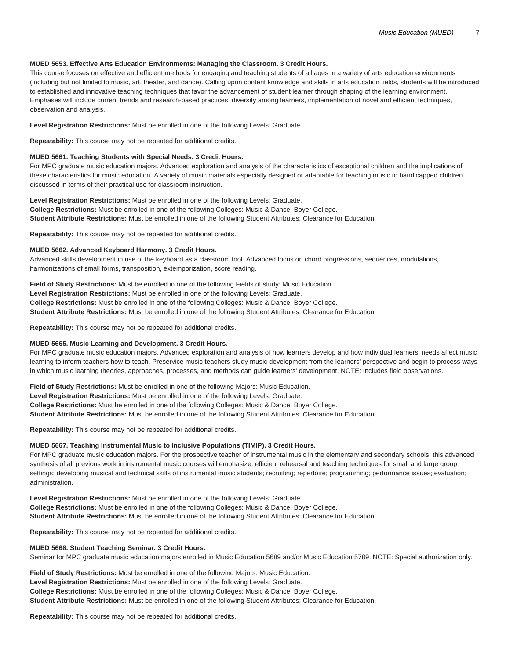# **MUED 5653. Effective Arts Education Environments: Managing the Classroom. 3 Credit Hours.**

This course focuses on effective and efficient methods for engaging and teaching students of all ages in a variety of arts education environments (including but not limited to music, art, theater, and dance). Calling upon content knowledge and skills in arts education fields, students will be introduced to established and innovative teaching techniques that favor the advancement of student learner through shaping of the learning environment. Emphases will include current trends and research-based practices, diversity among learners, implementation of novel and efficient techniques, observation and analysis.

## **Level Registration Restrictions:** Must be enrolled in one of the following Levels: Graduate.

**Repeatability:** This course may not be repeated for additional credits.

## **MUED 5661. Teaching Students with Special Needs. 3 Credit Hours.**

For MPC graduate music education majors. Advanced exploration and analysis of the characteristics of exceptional children and the implications of these characteristics for music education. A variety of music materials especially designed or adaptable for teaching music to handicapped children discussed in terms of their practical use for classroom instruction.

**Level Registration Restrictions:** Must be enrolled in one of the following Levels: Graduate. **College Restrictions:** Must be enrolled in one of the following Colleges: Music & Dance, Boyer College. **Student Attribute Restrictions:** Must be enrolled in one of the following Student Attributes: Clearance for Education.

**Repeatability:** This course may not be repeated for additional credits.

## **MUED 5662. Advanced Keyboard Harmony. 3 Credit Hours.**

Advanced skills development in use of the keyboard as a classroom tool. Advanced focus on chord progressions, sequences, modulations, harmonizations of small forms, transposition, extemporization, score reading.

**Field of Study Restrictions:** Must be enrolled in one of the following Fields of study: Music Education. **Level Registration Restrictions:** Must be enrolled in one of the following Levels: Graduate. **College Restrictions:** Must be enrolled in one of the following Colleges: Music & Dance, Boyer College. **Student Attribute Restrictions:** Must be enrolled in one of the following Student Attributes: Clearance for Education.

**Repeatability:** This course may not be repeated for additional credits.

## **MUED 5665. Music Learning and Development. 3 Credit Hours.**

For MPC graduate music education majors. Advanced exploration and analysis of how learners develop and how individual learners' needs affect music learning to inform teachers how to teach. Preservice music teachers study music development from the learners' perspective and begin to process ways in which music learning theories, approaches, processes, and methods can guide learners' development. NOTE: Includes field observations.

**Field of Study Restrictions:** Must be enrolled in one of the following Majors: Music Education.

**Level Registration Restrictions:** Must be enrolled in one of the following Levels: Graduate.

**College Restrictions:** Must be enrolled in one of the following Colleges: Music & Dance, Boyer College.

**Student Attribute Restrictions:** Must be enrolled in one of the following Student Attributes: Clearance for Education.

**Repeatability:** This course may not be repeated for additional credits.

# **MUED 5667. Teaching Instrumental Music to Inclusive Populations (TIMIP). 3 Credit Hours.**

For MPC graduate music education majors. For the prospective teacher of instrumental music in the elementary and secondary schools, this advanced synthesis of all previous work in instrumental music courses will emphasize: efficient rehearsal and teaching techniques for small and large group settings; developing musical and technical skills of instrumental music students; recruiting; repertoire; programming; performance issues; evaluation; administration.

**Level Registration Restrictions:** Must be enrolled in one of the following Levels: Graduate. **College Restrictions:** Must be enrolled in one of the following Colleges: Music & Dance, Boyer College. **Student Attribute Restrictions:** Must be enrolled in one of the following Student Attributes: Clearance for Education.

**Repeatability:** This course may not be repeated for additional credits.

# **MUED 5668. Student Teaching Seminar. 3 Credit Hours.**

Seminar for MPC graduate music education majors enrolled in Music Education 5689 and/or Music Education 5789. NOTE: Special authorization only.

**Field of Study Restrictions:** Must be enrolled in one of the following Majors: Music Education. **Level Registration Restrictions:** Must be enrolled in one of the following Levels: Graduate. **College Restrictions:** Must be enrolled in one of the following Colleges: Music & Dance, Boyer College. **Student Attribute Restrictions:** Must be enrolled in one of the following Student Attributes: Clearance for Education.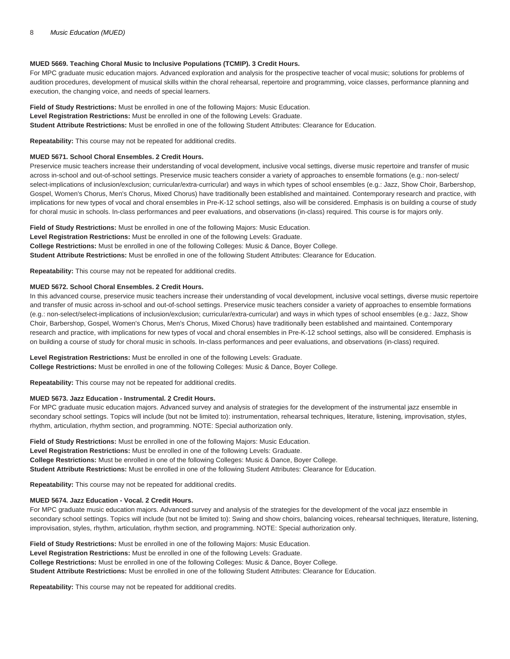# **MUED 5669. Teaching Choral Music to Inclusive Populations (TCMIP). 3 Credit Hours.**

For MPC graduate music education majors. Advanced exploration and analysis for the prospective teacher of vocal music; solutions for problems of audition procedures, development of musical skills within the choral rehearsal, repertoire and programming, voice classes, performance planning and execution, the changing voice, and needs of special learners.

**Field of Study Restrictions:** Must be enrolled in one of the following Majors: Music Education. **Level Registration Restrictions:** Must be enrolled in one of the following Levels: Graduate. **Student Attribute Restrictions:** Must be enrolled in one of the following Student Attributes: Clearance for Education.

**Repeatability:** This course may not be repeated for additional credits.

# **MUED 5671. School Choral Ensembles. 2 Credit Hours.**

Preservice music teachers increase their understanding of vocal development, inclusive vocal settings, diverse music repertoire and transfer of music across in-school and out-of-school settings. Preservice music teachers consider a variety of approaches to ensemble formations (e.g.: non-select/ select-implications of inclusion/exclusion; curricular/extra-curricular) and ways in which types of school ensembles (e.g.: Jazz, Show Choir, Barbershop, Gospel, Women's Chorus, Men's Chorus, Mixed Chorus) have traditionally been established and maintained. Contemporary research and practice, with implications for new types of vocal and choral ensembles in Pre-K-12 school settings, also will be considered. Emphasis is on building a course of study for choral music in schools. In-class performances and peer evaluations, and observations (in-class) required. This course is for majors only.

**Field of Study Restrictions:** Must be enrolled in one of the following Majors: Music Education. **Level Registration Restrictions:** Must be enrolled in one of the following Levels: Graduate. **College Restrictions:** Must be enrolled in one of the following Colleges: Music & Dance, Boyer College. **Student Attribute Restrictions:** Must be enrolled in one of the following Student Attributes: Clearance for Education.

**Repeatability:** This course may not be repeated for additional credits.

# **MUED 5672. School Choral Ensembles. 2 Credit Hours.**

In this advanced course, preservice music teachers increase their understanding of vocal development, inclusive vocal settings, diverse music repertoire and transfer of music across in-school and out-of-school settings. Preservice music teachers consider a variety of approaches to ensemble formations (e.g.: non-select/select-implications of inclusion/exclusion; curricular/extra-curricular) and ways in which types of school ensembles (e.g.: Jazz, Show Choir, Barbershop, Gospel, Women's Chorus, Men's Chorus, Mixed Chorus) have traditionally been established and maintained. Contemporary research and practice, with implications for new types of vocal and choral ensembles in Pre-K-12 school settings, also will be considered. Emphasis is on building a course of study for choral music in schools. In-class performances and peer evaluations, and observations (in-class) required.

**Level Registration Restrictions:** Must be enrolled in one of the following Levels: Graduate. **College Restrictions:** Must be enrolled in one of the following Colleges: Music & Dance, Boyer College.

**Repeatability:** This course may not be repeated for additional credits.

# **MUED 5673. Jazz Education - Instrumental. 2 Credit Hours.**

For MPC graduate music education majors. Advanced survey and analysis of strategies for the development of the instrumental jazz ensemble in secondary school settings. Topics will include (but not be limited to): instrumentation, rehearsal techniques, literature, listening, improvisation, styles, rhythm, articulation, rhythm section, and programming. NOTE: Special authorization only.

**Field of Study Restrictions:** Must be enrolled in one of the following Majors: Music Education. **Level Registration Restrictions:** Must be enrolled in one of the following Levels: Graduate. **College Restrictions:** Must be enrolled in one of the following Colleges: Music & Dance, Boyer College. **Student Attribute Restrictions:** Must be enrolled in one of the following Student Attributes: Clearance for Education.

**Repeatability:** This course may not be repeated for additional credits.

# **MUED 5674. Jazz Education - Vocal. 2 Credit Hours.**

For MPC graduate music education majors. Advanced survey and analysis of the strategies for the development of the vocal jazz ensemble in secondary school settings. Topics will include (but not be limited to): Swing and show choirs, balancing voices, rehearsal techniques, literature, listening, improvisation, styles, rhythm, articulation, rhythm section, and programming. NOTE: Special authorization only.

**Field of Study Restrictions:** Must be enrolled in one of the following Majors: Music Education. **Level Registration Restrictions:** Must be enrolled in one of the following Levels: Graduate. **College Restrictions:** Must be enrolled in one of the following Colleges: Music & Dance, Boyer College. **Student Attribute Restrictions:** Must be enrolled in one of the following Student Attributes: Clearance for Education.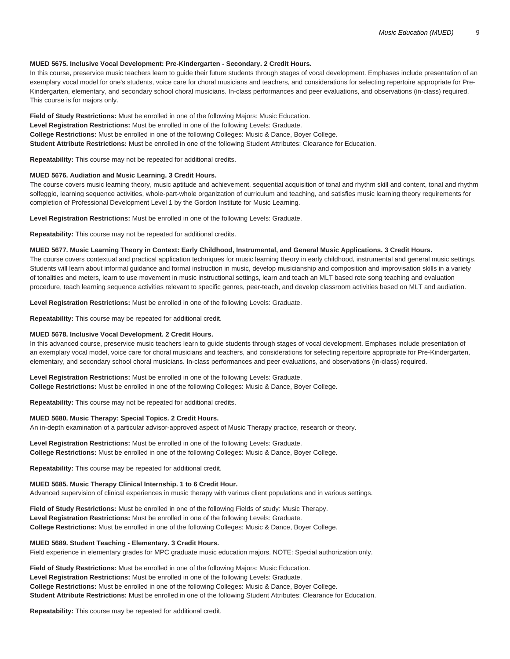## **MUED 5675. Inclusive Vocal Development: Pre-Kindergarten - Secondary. 2 Credit Hours.**

In this course, preservice music teachers learn to guide their future students through stages of vocal development. Emphases include presentation of an exemplary vocal model for one's students, voice care for choral musicians and teachers, and considerations for selecting repertoire appropriate for Pre-Kindergarten, elementary, and secondary school choral musicians. In-class performances and peer evaluations, and observations (in-class) required. This course is for majors only.

**Field of Study Restrictions:** Must be enrolled in one of the following Majors: Music Education. **Level Registration Restrictions:** Must be enrolled in one of the following Levels: Graduate. **College Restrictions:** Must be enrolled in one of the following Colleges: Music & Dance, Boyer College. **Student Attribute Restrictions:** Must be enrolled in one of the following Student Attributes: Clearance for Education.

**Repeatability:** This course may not be repeated for additional credits.

## **MUED 5676. Audiation and Music Learning. 3 Credit Hours.**

The course covers music learning theory, music aptitude and achievement, sequential acquisition of tonal and rhythm skill and content, tonal and rhythm solfeggio, learning sequence activities, whole-part-whole organization of curriculum and teaching, and satisfies music learning theory requirements for completion of Professional Development Level 1 by the Gordon Institute for Music Learning.

**Level Registration Restrictions:** Must be enrolled in one of the following Levels: Graduate.

**Repeatability:** This course may not be repeated for additional credits.

## **MUED 5677. Music Learning Theory in Context: Early Childhood, Instrumental, and General Music Applications. 3 Credit Hours.**

The course covers contextual and practical application techniques for music learning theory in early childhood, instrumental and general music settings. Students will learn about informal guidance and formal instruction in music, develop musicianship and composition and improvisation skills in a variety of tonalities and meters, learn to use movement in music instructional settings, learn and teach an MLT based rote song teaching and evaluation procedure, teach learning sequence activities relevant to specific genres, peer-teach, and develop classroom activities based on MLT and audiation.

**Level Registration Restrictions:** Must be enrolled in one of the following Levels: Graduate.

**Repeatability:** This course may be repeated for additional credit.

# **MUED 5678. Inclusive Vocal Development. 2 Credit Hours.**

In this advanced course, preservice music teachers learn to guide students through stages of vocal development. Emphases include presentation of an exemplary vocal model, voice care for choral musicians and teachers, and considerations for selecting repertoire appropriate for Pre-Kindergarten, elementary, and secondary school choral musicians. In-class performances and peer evaluations, and observations (in-class) required.

**Level Registration Restrictions:** Must be enrolled in one of the following Levels: Graduate. **College Restrictions:** Must be enrolled in one of the following Colleges: Music & Dance, Boyer College.

**Repeatability:** This course may not be repeated for additional credits.

## **MUED 5680. Music Therapy: Special Topics. 2 Credit Hours.**

An in-depth examination of a particular advisor-approved aspect of Music Therapy practice, research or theory.

**Level Registration Restrictions:** Must be enrolled in one of the following Levels: Graduate. **College Restrictions:** Must be enrolled in one of the following Colleges: Music & Dance, Boyer College.

**Repeatability:** This course may be repeated for additional credit.

## **MUED 5685. Music Therapy Clinical Internship. 1 to 6 Credit Hour.**

Advanced supervision of clinical experiences in music therapy with various client populations and in various settings.

**Field of Study Restrictions:** Must be enrolled in one of the following Fields of study: Music Therapy. **Level Registration Restrictions:** Must be enrolled in one of the following Levels: Graduate. **College Restrictions:** Must be enrolled in one of the following Colleges: Music & Dance, Boyer College.

## **MUED 5689. Student Teaching - Elementary. 3 Credit Hours.**

Field experience in elementary grades for MPC graduate music education majors. NOTE: Special authorization only.

**Field of Study Restrictions:** Must be enrolled in one of the following Majors: Music Education. **Level Registration Restrictions:** Must be enrolled in one of the following Levels: Graduate. **College Restrictions:** Must be enrolled in one of the following Colleges: Music & Dance, Boyer College. **Student Attribute Restrictions:** Must be enrolled in one of the following Student Attributes: Clearance for Education.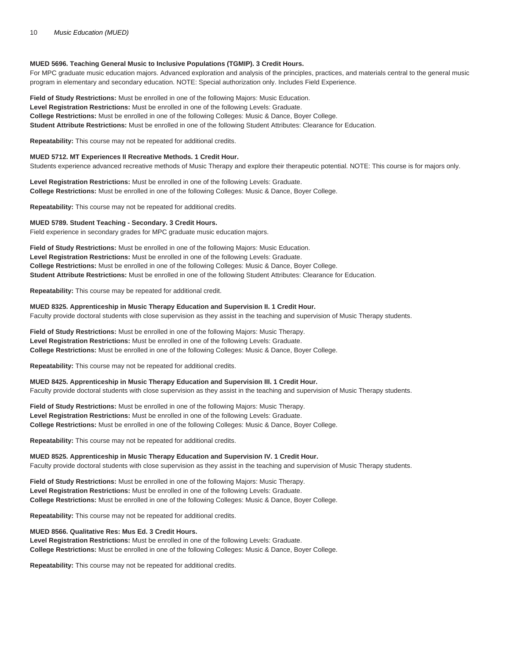# **MUED 5696. Teaching General Music to Inclusive Populations (TGMIP). 3 Credit Hours.**

For MPC graduate music education majors. Advanced exploration and analysis of the principles, practices, and materials central to the general music program in elementary and secondary education. NOTE: Special authorization only. Includes Field Experience.

**Field of Study Restrictions:** Must be enrolled in one of the following Majors: Music Education. **Level Registration Restrictions:** Must be enrolled in one of the following Levels: Graduate. **College Restrictions:** Must be enrolled in one of the following Colleges: Music & Dance, Boyer College. **Student Attribute Restrictions:** Must be enrolled in one of the following Student Attributes: Clearance for Education.

**Repeatability:** This course may not be repeated for additional credits.

## **MUED 5712. MT Experiences II Recreative Methods. 1 Credit Hour.**

Students experience advanced recreative methods of Music Therapy and explore their therapeutic potential. NOTE: This course is for majors only.

**Level Registration Restrictions:** Must be enrolled in one of the following Levels: Graduate. **College Restrictions:** Must be enrolled in one of the following Colleges: Music & Dance, Boyer College.

**Repeatability:** This course may not be repeated for additional credits.

## **MUED 5789. Student Teaching - Secondary. 3 Credit Hours.**

Field experience in secondary grades for MPC graduate music education majors.

**Field of Study Restrictions:** Must be enrolled in one of the following Majors: Music Education. **Level Registration Restrictions:** Must be enrolled in one of the following Levels: Graduate. **College Restrictions:** Must be enrolled in one of the following Colleges: Music & Dance, Boyer College. **Student Attribute Restrictions:** Must be enrolled in one of the following Student Attributes: Clearance for Education.

**Repeatability:** This course may be repeated for additional credit.

## **MUED 8325. Apprenticeship in Music Therapy Education and Supervision II. 1 Credit Hour.**

Faculty provide doctoral students with close supervision as they assist in the teaching and supervision of Music Therapy students.

**Field of Study Restrictions:** Must be enrolled in one of the following Majors: Music Therapy. **Level Registration Restrictions:** Must be enrolled in one of the following Levels: Graduate. **College Restrictions:** Must be enrolled in one of the following Colleges: Music & Dance, Boyer College.

**Repeatability:** This course may not be repeated for additional credits.

## **MUED 8425. Apprenticeship in Music Therapy Education and Supervision III. 1 Credit Hour.**

Faculty provide doctoral students with close supervision as they assist in the teaching and supervision of Music Therapy students.

**Field of Study Restrictions:** Must be enrolled in one of the following Majors: Music Therapy. **Level Registration Restrictions:** Must be enrolled in one of the following Levels: Graduate. **College Restrictions:** Must be enrolled in one of the following Colleges: Music & Dance, Boyer College.

**Repeatability:** This course may not be repeated for additional credits.

**MUED 8525. Apprenticeship in Music Therapy Education and Supervision IV. 1 Credit Hour.**

Faculty provide doctoral students with close supervision as they assist in the teaching and supervision of Music Therapy students.

**Field of Study Restrictions:** Must be enrolled in one of the following Majors: Music Therapy. **Level Registration Restrictions:** Must be enrolled in one of the following Levels: Graduate. **College Restrictions:** Must be enrolled in one of the following Colleges: Music & Dance, Boyer College.

**Repeatability:** This course may not be repeated for additional credits.

# **MUED 8566. Qualitative Res: Mus Ed. 3 Credit Hours.**

**Level Registration Restrictions:** Must be enrolled in one of the following Levels: Graduate. **College Restrictions:** Must be enrolled in one of the following Colleges: Music & Dance, Boyer College.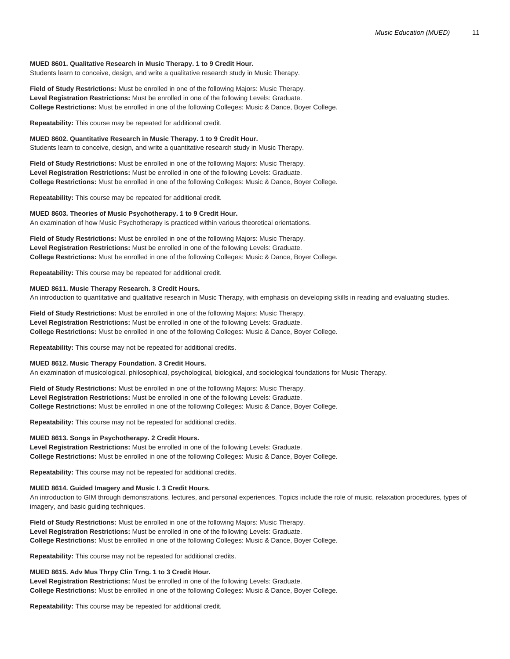## **MUED 8601. Qualitative Research in Music Therapy. 1 to 9 Credit Hour.**

Students learn to conceive, design, and write a qualitative research study in Music Therapy.

**Field of Study Restrictions:** Must be enrolled in one of the following Majors: Music Therapy. **Level Registration Restrictions:** Must be enrolled in one of the following Levels: Graduate. **College Restrictions:** Must be enrolled in one of the following Colleges: Music & Dance, Boyer College.

**Repeatability:** This course may be repeated for additional credit.

**MUED 8602. Quantitative Research in Music Therapy. 1 to 9 Credit Hour.**

Students learn to conceive, design, and write a quantitative research study in Music Therapy.

**Field of Study Restrictions:** Must be enrolled in one of the following Majors: Music Therapy. **Level Registration Restrictions:** Must be enrolled in one of the following Levels: Graduate. **College Restrictions:** Must be enrolled in one of the following Colleges: Music & Dance, Boyer College.

**Repeatability:** This course may be repeated for additional credit.

## **MUED 8603. Theories of Music Psychotherapy. 1 to 9 Credit Hour.**

An examination of how Music Psychotherapy is practiced within various theoretical orientations.

**Field of Study Restrictions:** Must be enrolled in one of the following Majors: Music Therapy. **Level Registration Restrictions:** Must be enrolled in one of the following Levels: Graduate. **College Restrictions:** Must be enrolled in one of the following Colleges: Music & Dance, Boyer College.

**Repeatability:** This course may be repeated for additional credit.

# **MUED 8611. Music Therapy Research. 3 Credit Hours.**

An introduction to quantitative and qualitative research in Music Therapy, with emphasis on developing skills in reading and evaluating studies.

**Field of Study Restrictions:** Must be enrolled in one of the following Majors: Music Therapy. **Level Registration Restrictions:** Must be enrolled in one of the following Levels: Graduate. **College Restrictions:** Must be enrolled in one of the following Colleges: Music & Dance, Boyer College.

**Repeatability:** This course may not be repeated for additional credits.

## **MUED 8612. Music Therapy Foundation. 3 Credit Hours.**

An examination of musicological, philosophical, psychological, biological, and sociological foundations for Music Therapy.

**Field of Study Restrictions:** Must be enrolled in one of the following Majors: Music Therapy. **Level Registration Restrictions:** Must be enrolled in one of the following Levels: Graduate. **College Restrictions:** Must be enrolled in one of the following Colleges: Music & Dance, Boyer College.

**Repeatability:** This course may not be repeated for additional credits.

## **MUED 8613. Songs in Psychotherapy. 2 Credit Hours.**

**Level Registration Restrictions:** Must be enrolled in one of the following Levels: Graduate. **College Restrictions:** Must be enrolled in one of the following Colleges: Music & Dance, Boyer College.

**Repeatability:** This course may not be repeated for additional credits.

## **MUED 8614. Guided Imagery and Music I. 3 Credit Hours.**

An introduction to GIM through demonstrations, lectures, and personal experiences. Topics include the role of music, relaxation procedures, types of imagery, and basic guiding techniques.

**Field of Study Restrictions:** Must be enrolled in one of the following Majors: Music Therapy. **Level Registration Restrictions:** Must be enrolled in one of the following Levels: Graduate. **College Restrictions:** Must be enrolled in one of the following Colleges: Music & Dance, Boyer College.

**Repeatability:** This course may not be repeated for additional credits.

## **MUED 8615. Adv Mus Thrpy Clin Trng. 1 to 3 Credit Hour.**

**Level Registration Restrictions:** Must be enrolled in one of the following Levels: Graduate. **College Restrictions:** Must be enrolled in one of the following Colleges: Music & Dance, Boyer College.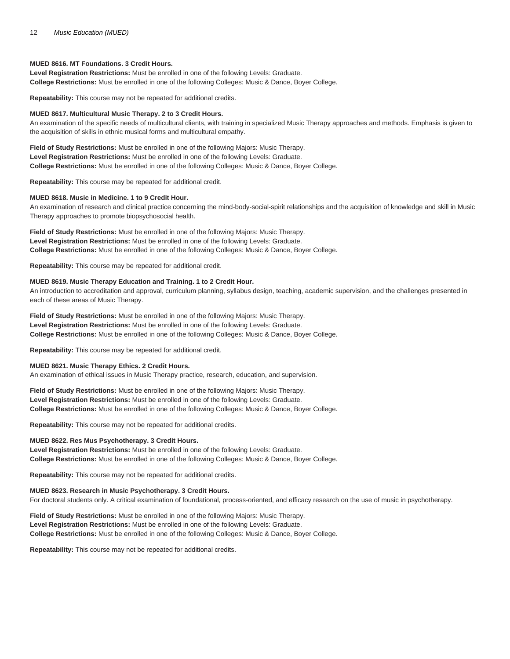# **MUED 8616. MT Foundations. 3 Credit Hours.**

**Level Registration Restrictions:** Must be enrolled in one of the following Levels: Graduate. **College Restrictions:** Must be enrolled in one of the following Colleges: Music & Dance, Boyer College.

**Repeatability:** This course may not be repeated for additional credits.

## **MUED 8617. Multicultural Music Therapy. 2 to 3 Credit Hours.**

An examination of the specific needs of multicultural clients, with training in specialized Music Therapy approaches and methods. Emphasis is given to the acquisition of skills in ethnic musical forms and multicultural empathy.

**Field of Study Restrictions:** Must be enrolled in one of the following Majors: Music Therapy. **Level Registration Restrictions:** Must be enrolled in one of the following Levels: Graduate. **College Restrictions:** Must be enrolled in one of the following Colleges: Music & Dance, Boyer College.

**Repeatability:** This course may be repeated for additional credit.

## **MUED 8618. Music in Medicine. 1 to 9 Credit Hour.**

An examination of research and clinical practice concerning the mind-body-social-spirit relationships and the acquisition of knowledge and skill in Music Therapy approaches to promote biopsychosocial health.

**Field of Study Restrictions:** Must be enrolled in one of the following Majors: Music Therapy. **Level Registration Restrictions:** Must be enrolled in one of the following Levels: Graduate. **College Restrictions:** Must be enrolled in one of the following Colleges: Music & Dance, Boyer College.

**Repeatability:** This course may be repeated for additional credit.

## **MUED 8619. Music Therapy Education and Training. 1 to 2 Credit Hour.**

An introduction to accreditation and approval, curriculum planning, syllabus design, teaching, academic supervision, and the challenges presented in each of these areas of Music Therapy.

**Field of Study Restrictions:** Must be enrolled in one of the following Majors: Music Therapy. **Level Registration Restrictions:** Must be enrolled in one of the following Levels: Graduate. **College Restrictions:** Must be enrolled in one of the following Colleges: Music & Dance, Boyer College.

**Repeatability:** This course may be repeated for additional credit.

## **MUED 8621. Music Therapy Ethics. 2 Credit Hours.**

An examination of ethical issues in Music Therapy practice, research, education, and supervision.

**Field of Study Restrictions:** Must be enrolled in one of the following Majors: Music Therapy. **Level Registration Restrictions:** Must be enrolled in one of the following Levels: Graduate. **College Restrictions:** Must be enrolled in one of the following Colleges: Music & Dance, Boyer College.

**Repeatability:** This course may not be repeated for additional credits.

## **MUED 8622. Res Mus Psychotherapy. 3 Credit Hours.**

**Level Registration Restrictions:** Must be enrolled in one of the following Levels: Graduate. **College Restrictions:** Must be enrolled in one of the following Colleges: Music & Dance, Boyer College.

**Repeatability:** This course may not be repeated for additional credits.

## **MUED 8623. Research in Music Psychotherapy. 3 Credit Hours.**

For doctoral students only. A critical examination of foundational, process-oriented, and efficacy research on the use of music in psychotherapy.

**Field of Study Restrictions:** Must be enrolled in one of the following Majors: Music Therapy. **Level Registration Restrictions:** Must be enrolled in one of the following Levels: Graduate. **College Restrictions:** Must be enrolled in one of the following Colleges: Music & Dance, Boyer College.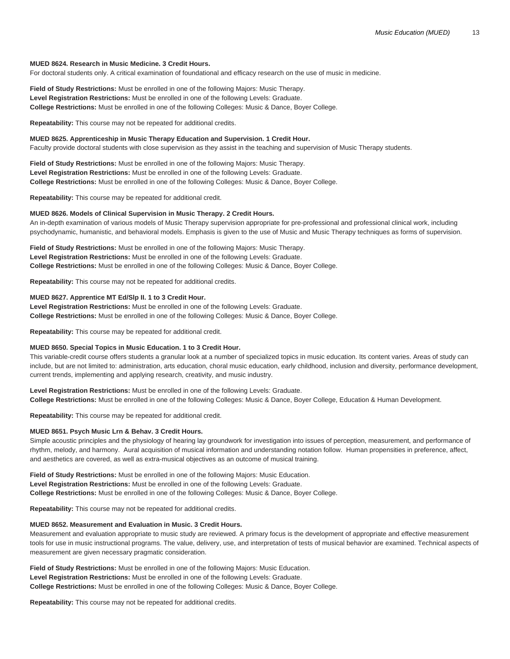## **MUED 8624. Research in Music Medicine. 3 Credit Hours.**

For doctoral students only. A critical examination of foundational and efficacy research on the use of music in medicine.

**Field of Study Restrictions:** Must be enrolled in one of the following Majors: Music Therapy. **Level Registration Restrictions:** Must be enrolled in one of the following Levels: Graduate. **College Restrictions:** Must be enrolled in one of the following Colleges: Music & Dance, Boyer College.

**Repeatability:** This course may not be repeated for additional credits.

## **MUED 8625. Apprenticeship in Music Therapy Education and Supervision. 1 Credit Hour.**

Faculty provide doctoral students with close supervision as they assist in the teaching and supervision of Music Therapy students.

**Field of Study Restrictions:** Must be enrolled in one of the following Majors: Music Therapy. **Level Registration Restrictions:** Must be enrolled in one of the following Levels: Graduate. **College Restrictions:** Must be enrolled in one of the following Colleges: Music & Dance, Boyer College.

**Repeatability:** This course may be repeated for additional credit.

## **MUED 8626. Models of Clinical Supervision in Music Therapy. 2 Credit Hours.**

An in-depth examination of various models of Music Therapy supervision appropriate for pre-professional and professional clinical work, including psychodynamic, humanistic, and behavioral models. Emphasis is given to the use of Music and Music Therapy techniques as forms of supervision.

**Field of Study Restrictions:** Must be enrolled in one of the following Majors: Music Therapy. **Level Registration Restrictions:** Must be enrolled in one of the following Levels: Graduate. **College Restrictions:** Must be enrolled in one of the following Colleges: Music & Dance, Boyer College.

**Repeatability:** This course may not be repeated for additional credits.

## **MUED 8627. Apprentice MT Ed/Slp II. 1 to 3 Credit Hour.**

**Level Registration Restrictions:** Must be enrolled in one of the following Levels: Graduate. **College Restrictions:** Must be enrolled in one of the following Colleges: Music & Dance, Boyer College.

**Repeatability:** This course may be repeated for additional credit.

## **MUED 8650. Special Topics in Music Education. 1 to 3 Credit Hour.**

This variable-credit course offers students a granular look at a number of specialized topics in music education. Its content varies. Areas of study can include, but are not limited to: administration, arts education, choral music education, early childhood, inclusion and diversity, performance development, current trends, implementing and applying research, creativity, and music industry.

**Level Registration Restrictions:** Must be enrolled in one of the following Levels: Graduate. **College Restrictions:** Must be enrolled in one of the following Colleges: Music & Dance, Boyer College, Education & Human Development.

**Repeatability:** This course may be repeated for additional credit.

## **MUED 8651. Psych Music Lrn & Behav. 3 Credit Hours.**

Simple acoustic principles and the physiology of hearing lay groundwork for investigation into issues of perception, measurement, and performance of rhythm, melody, and harmony. Aural acquisition of musical information and understanding notation follow. Human propensities in preference, affect, and aesthetics are covered, as well as extra-musical objectives as an outcome of musical training.

**Field of Study Restrictions:** Must be enrolled in one of the following Majors: Music Education. **Level Registration Restrictions:** Must be enrolled in one of the following Levels: Graduate. **College Restrictions:** Must be enrolled in one of the following Colleges: Music & Dance, Boyer College.

**Repeatability:** This course may not be repeated for additional credits.

#### **MUED 8652. Measurement and Evaluation in Music. 3 Credit Hours.**

Measurement and evaluation appropriate to music study are reviewed. A primary focus is the development of appropriate and effective measurement tools for use in music instructional programs. The value, delivery, use, and interpretation of tests of musical behavior are examined. Technical aspects of measurement are given necessary pragmatic consideration.

**Field of Study Restrictions:** Must be enrolled in one of the following Majors: Music Education. **Level Registration Restrictions:** Must be enrolled in one of the following Levels: Graduate. **College Restrictions:** Must be enrolled in one of the following Colleges: Music & Dance, Boyer College.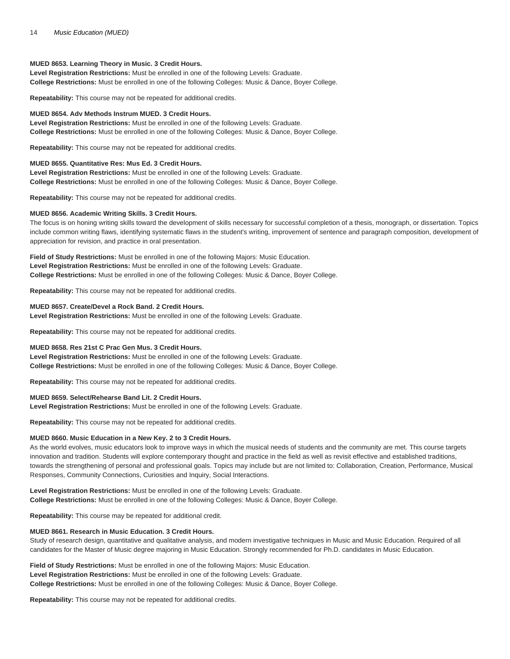## **MUED 8653. Learning Theory in Music. 3 Credit Hours.**

**Level Registration Restrictions:** Must be enrolled in one of the following Levels: Graduate. **College Restrictions:** Must be enrolled in one of the following Colleges: Music & Dance, Boyer College.

**Repeatability:** This course may not be repeated for additional credits.

## **MUED 8654. Adv Methods Instrum MUED. 3 Credit Hours.**

**Level Registration Restrictions:** Must be enrolled in one of the following Levels: Graduate. **College Restrictions:** Must be enrolled in one of the following Colleges: Music & Dance, Boyer College.

**Repeatability:** This course may not be repeated for additional credits.

## **MUED 8655. Quantitative Res: Mus Ed. 3 Credit Hours.**

**Level Registration Restrictions:** Must be enrolled in one of the following Levels: Graduate. **College Restrictions:** Must be enrolled in one of the following Colleges: Music & Dance, Boyer College.

**Repeatability:** This course may not be repeated for additional credits.

## **MUED 8656. Academic Writing Skills. 3 Credit Hours.**

The focus is on honing writing skills toward the development of skills necessary for successful completion of a thesis, monograph, or dissertation. Topics include common writing flaws, identifying systematic flaws in the student's writing, improvement of sentence and paragraph composition, development of appreciation for revision, and practice in oral presentation.

**Field of Study Restrictions:** Must be enrolled in one of the following Majors: Music Education. **Level Registration Restrictions:** Must be enrolled in one of the following Levels: Graduate. **College Restrictions:** Must be enrolled in one of the following Colleges: Music & Dance, Boyer College.

**Repeatability:** This course may not be repeated for additional credits.

## **MUED 8657. Create/Devel a Rock Band. 2 Credit Hours.**

**Level Registration Restrictions:** Must be enrolled in one of the following Levels: Graduate.

**Repeatability:** This course may not be repeated for additional credits.

## **MUED 8658. Res 21st C Prac Gen Mus. 3 Credit Hours.**

**Level Registration Restrictions:** Must be enrolled in one of the following Levels: Graduate. **College Restrictions:** Must be enrolled in one of the following Colleges: Music & Dance, Boyer College.

**Repeatability:** This course may not be repeated for additional credits.

# **MUED 8659. Select/Rehearse Band Lit. 2 Credit Hours.**

**Level Registration Restrictions:** Must be enrolled in one of the following Levels: Graduate.

**Repeatability:** This course may not be repeated for additional credits.

# **MUED 8660. Music Education in a New Key. 2 to 3 Credit Hours.**

As the world evolves, music educators look to improve ways in which the musical needs of students and the community are met. This course targets innovation and tradition. Students will explore contemporary thought and practice in the field as well as revisit effective and established traditions, towards the strengthening of personal and professional goals. Topics may include but are not limited to: Collaboration, Creation, Performance, Musical Responses, Community Connections, Curiosities and Inquiry, Social Interactions.

**Level Registration Restrictions:** Must be enrolled in one of the following Levels: Graduate. **College Restrictions:** Must be enrolled in one of the following Colleges: Music & Dance, Boyer College.

**Repeatability:** This course may be repeated for additional credit.

## **MUED 8661. Research in Music Education. 3 Credit Hours.**

Study of research design, quantitative and qualitative analysis, and modern investigative techniques in Music and Music Education. Required of all candidates for the Master of Music degree majoring in Music Education. Strongly recommended for Ph.D. candidates in Music Education.

**Field of Study Restrictions:** Must be enrolled in one of the following Majors: Music Education. **Level Registration Restrictions:** Must be enrolled in one of the following Levels: Graduate. **College Restrictions:** Must be enrolled in one of the following Colleges: Music & Dance, Boyer College.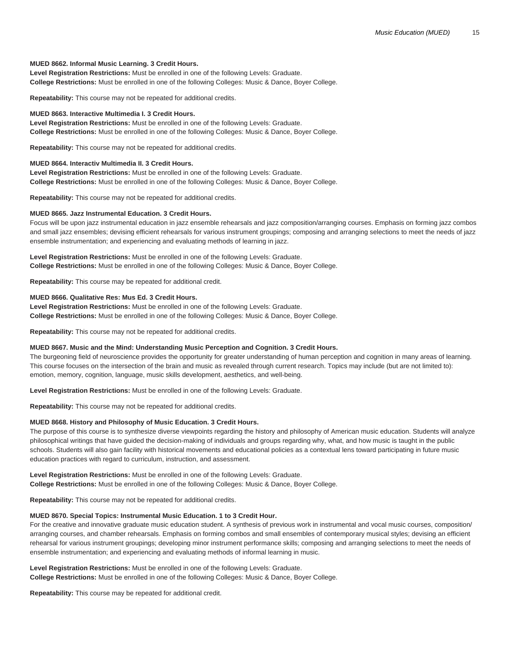## **MUED 8662. Informal Music Learning. 3 Credit Hours.**

**Level Registration Restrictions:** Must be enrolled in one of the following Levels: Graduate. **College Restrictions:** Must be enrolled in one of the following Colleges: Music & Dance, Boyer College.

**Repeatability:** This course may not be repeated for additional credits.

## **MUED 8663. Interactive Multimedia I. 3 Credit Hours.**

**Level Registration Restrictions:** Must be enrolled in one of the following Levels: Graduate. **College Restrictions:** Must be enrolled in one of the following Colleges: Music & Dance, Boyer College.

**Repeatability:** This course may not be repeated for additional credits.

# **MUED 8664. Interactiv Multimedia II. 3 Credit Hours.**

**Level Registration Restrictions:** Must be enrolled in one of the following Levels: Graduate. **College Restrictions:** Must be enrolled in one of the following Colleges: Music & Dance, Boyer College.

**Repeatability:** This course may not be repeated for additional credits.

## **MUED 8665. Jazz Instrumental Education. 3 Credit Hours.**

Focus will be upon jazz instrumental education in jazz ensemble rehearsals and jazz composition/arranging courses. Emphasis on forming jazz combos and small jazz ensembles; devising efficient rehearsals for various instrument groupings; composing and arranging selections to meet the needs of jazz ensemble instrumentation; and experiencing and evaluating methods of learning in jazz.

**Level Registration Restrictions:** Must be enrolled in one of the following Levels: Graduate. **College Restrictions:** Must be enrolled in one of the following Colleges: Music & Dance, Boyer College.

**Repeatability:** This course may be repeated for additional credit.

## **MUED 8666. Qualitative Res: Mus Ed. 3 Credit Hours.**

**Level Registration Restrictions:** Must be enrolled in one of the following Levels: Graduate. **College Restrictions:** Must be enrolled in one of the following Colleges: Music & Dance, Boyer College.

**Repeatability:** This course may not be repeated for additional credits.

#### **MUED 8667. Music and the Mind: Understanding Music Perception and Cognition. 3 Credit Hours.**

The burgeoning field of neuroscience provides the opportunity for greater understanding of human perception and cognition in many areas of learning. This course focuses on the intersection of the brain and music as revealed through current research. Topics may include (but are not limited to): emotion, memory, cognition, language, music skills development, aesthetics, and well-being.

**Level Registration Restrictions:** Must be enrolled in one of the following Levels: Graduate.

**Repeatability:** This course may not be repeated for additional credits.

#### **MUED 8668. History and Philosophy of Music Education. 3 Credit Hours.**

The purpose of this course is to synthesize diverse viewpoints regarding the history and philosophy of American music education. Students will analyze philosophical writings that have guided the decision-making of individuals and groups regarding why, what, and how music is taught in the public schools. Students will also gain facility with historical movements and educational policies as a contextual lens toward participating in future music education practices with regard to curriculum, instruction, and assessment.

**Level Registration Restrictions:** Must be enrolled in one of the following Levels: Graduate. **College Restrictions:** Must be enrolled in one of the following Colleges: Music & Dance, Boyer College.

**Repeatability:** This course may not be repeated for additional credits.

# **MUED 8670. Special Topics: Instrumental Music Education. 1 to 3 Credit Hour.**

For the creative and innovative graduate music education student. A synthesis of previous work in instrumental and vocal music courses, composition/ arranging courses, and chamber rehearsals. Emphasis on forming combos and small ensembles of contemporary musical styles; devising an efficient rehearsal for various instrument groupings; developing minor instrument performance skills; composing and arranging selections to meet the needs of ensemble instrumentation; and experiencing and evaluating methods of informal learning in music.

**Level Registration Restrictions:** Must be enrolled in one of the following Levels: Graduate. **College Restrictions:** Must be enrolled in one of the following Colleges: Music & Dance, Boyer College.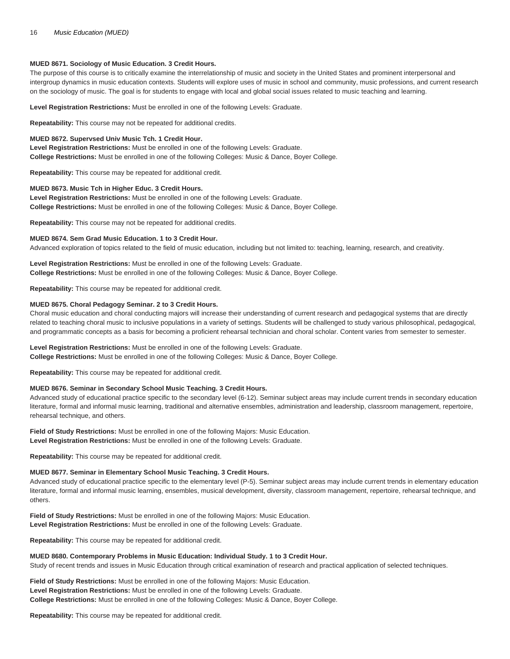## **MUED 8671. Sociology of Music Education. 3 Credit Hours.**

The purpose of this course is to critically examine the interrelationship of music and society in the United States and prominent interpersonal and intergroup dynamics in music education contexts. Students will explore uses of music in school and community, music professions, and current research on the sociology of music. The goal is for students to engage with local and global social issues related to music teaching and learning.

**Level Registration Restrictions:** Must be enrolled in one of the following Levels: Graduate.

**Repeatability:** This course may not be repeated for additional credits.

## **MUED 8672. Supervsed Univ Music Tch. 1 Credit Hour.**

**Level Registration Restrictions:** Must be enrolled in one of the following Levels: Graduate. **College Restrictions:** Must be enrolled in one of the following Colleges: Music & Dance, Boyer College.

**Repeatability:** This course may be repeated for additional credit.

## **MUED 8673. Music Tch in Higher Educ. 3 Credit Hours.**

**Level Registration Restrictions:** Must be enrolled in one of the following Levels: Graduate. **College Restrictions:** Must be enrolled in one of the following Colleges: Music & Dance, Boyer College.

**Repeatability:** This course may not be repeated for additional credits.

## **MUED 8674. Sem Grad Music Education. 1 to 3 Credit Hour.**

Advanced exploration of topics related to the field of music education, including but not limited to: teaching, learning, research, and creativity.

**Level Registration Restrictions:** Must be enrolled in one of the following Levels: Graduate. **College Restrictions:** Must be enrolled in one of the following Colleges: Music & Dance, Boyer College.

**Repeatability:** This course may be repeated for additional credit.

## **MUED 8675. Choral Pedagogy Seminar. 2 to 3 Credit Hours.**

Choral music education and choral conducting majors will increase their understanding of current research and pedagogical systems that are directly related to teaching choral music to inclusive populations in a variety of settings. Students will be challenged to study various philosophical, pedagogical, and programmatic concepts as a basis for becoming a proficient rehearsal technician and choral scholar. Content varies from semester to semester.

# **Level Registration Restrictions:** Must be enrolled in one of the following Levels: Graduate.

**College Restrictions:** Must be enrolled in one of the following Colleges: Music & Dance, Boyer College.

**Repeatability:** This course may be repeated for additional credit.

# **MUED 8676. Seminar in Secondary School Music Teaching. 3 Credit Hours.**

Advanced study of educational practice specific to the secondary level (6-12). Seminar subject areas may include current trends in secondary education literature, formal and informal music learning, traditional and alternative ensembles, administration and leadership, classroom management, repertoire, rehearsal technique, and others.

**Field of Study Restrictions:** Must be enrolled in one of the following Majors: Music Education. **Level Registration Restrictions:** Must be enrolled in one of the following Levels: Graduate.

**Repeatability:** This course may be repeated for additional credit.

# **MUED 8677. Seminar in Elementary School Music Teaching. 3 Credit Hours.**

Advanced study of educational practice specific to the elementary level (P-5). Seminar subject areas may include current trends in elementary education literature, formal and informal music learning, ensembles, musical development, diversity, classroom management, repertoire, rehearsal technique, and others.

**Field of Study Restrictions:** Must be enrolled in one of the following Majors: Music Education. **Level Registration Restrictions:** Must be enrolled in one of the following Levels: Graduate.

**Repeatability:** This course may be repeated for additional credit.

## **MUED 8680. Contemporary Problems in Music Education: Individual Study. 1 to 3 Credit Hour.**

Study of recent trends and issues in Music Education through critical examination of research and practical application of selected techniques.

**Field of Study Restrictions:** Must be enrolled in one of the following Majors: Music Education. **Level Registration Restrictions:** Must be enrolled in one of the following Levels: Graduate. **College Restrictions:** Must be enrolled in one of the following Colleges: Music & Dance, Boyer College.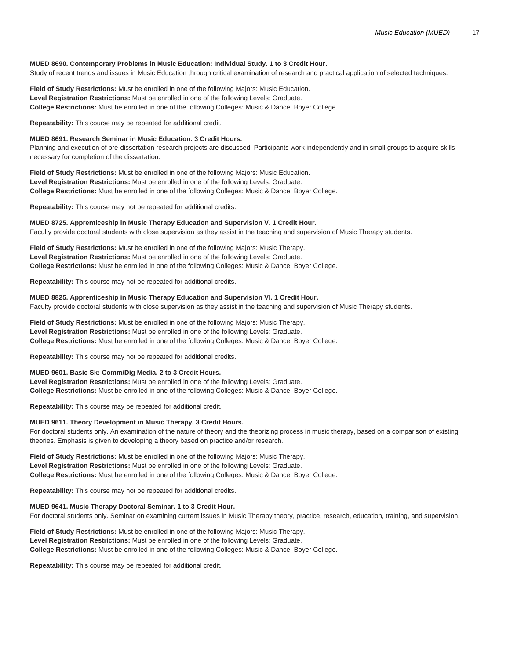# **MUED 8690. Contemporary Problems in Music Education: Individual Study. 1 to 3 Credit Hour.**

Study of recent trends and issues in Music Education through critical examination of research and practical application of selected techniques.

**Field of Study Restrictions:** Must be enrolled in one of the following Majors: Music Education. **Level Registration Restrictions:** Must be enrolled in one of the following Levels: Graduate. **College Restrictions:** Must be enrolled in one of the following Colleges: Music & Dance, Boyer College.

**Repeatability:** This course may be repeated for additional credit.

## **MUED 8691. Research Seminar in Music Education. 3 Credit Hours.**

Planning and execution of pre-dissertation research projects are discussed. Participants work independently and in small groups to acquire skills necessary for completion of the dissertation.

**Field of Study Restrictions:** Must be enrolled in one of the following Majors: Music Education. **Level Registration Restrictions:** Must be enrolled in one of the following Levels: Graduate. **College Restrictions:** Must be enrolled in one of the following Colleges: Music & Dance, Boyer College.

**Repeatability:** This course may not be repeated for additional credits.

## **MUED 8725. Apprenticeship in Music Therapy Education and Supervision V. 1 Credit Hour.**

Faculty provide doctoral students with close supervision as they assist in the teaching and supervision of Music Therapy students.

**Field of Study Restrictions:** Must be enrolled in one of the following Majors: Music Therapy. **Level Registration Restrictions:** Must be enrolled in one of the following Levels: Graduate. **College Restrictions:** Must be enrolled in one of the following Colleges: Music & Dance, Boyer College.

**Repeatability:** This course may not be repeated for additional credits.

# **MUED 8825. Apprenticeship in Music Therapy Education and Supervision VI. 1 Credit Hour.**

Faculty provide doctoral students with close supervision as they assist in the teaching and supervision of Music Therapy students.

**Field of Study Restrictions:** Must be enrolled in one of the following Majors: Music Therapy. **Level Registration Restrictions:** Must be enrolled in one of the following Levels: Graduate. **College Restrictions:** Must be enrolled in one of the following Colleges: Music & Dance, Boyer College.

**Repeatability:** This course may not be repeated for additional credits.

# **MUED 9601. Basic Sk: Comm/Dig Media. 2 to 3 Credit Hours.**

**Level Registration Restrictions:** Must be enrolled in one of the following Levels: Graduate. **College Restrictions:** Must be enrolled in one of the following Colleges: Music & Dance, Boyer College.

**Repeatability:** This course may be repeated for additional credit.

# **MUED 9611. Theory Development in Music Therapy. 3 Credit Hours.**

For doctoral students only. An examination of the nature of theory and the theorizing process in music therapy, based on a comparison of existing theories. Emphasis is given to developing a theory based on practice and/or research.

**Field of Study Restrictions:** Must be enrolled in one of the following Majors: Music Therapy. **Level Registration Restrictions:** Must be enrolled in one of the following Levels: Graduate. **College Restrictions:** Must be enrolled in one of the following Colleges: Music & Dance, Boyer College.

**Repeatability:** This course may not be repeated for additional credits.

# **MUED 9641. Music Therapy Doctoral Seminar. 1 to 3 Credit Hour.**

For doctoral students only. Seminar on examining current issues in Music Therapy theory, practice, research, education, training, and supervision.

**Field of Study Restrictions:** Must be enrolled in one of the following Majors: Music Therapy. **Level Registration Restrictions:** Must be enrolled in one of the following Levels: Graduate. **College Restrictions:** Must be enrolled in one of the following Colleges: Music & Dance, Boyer College.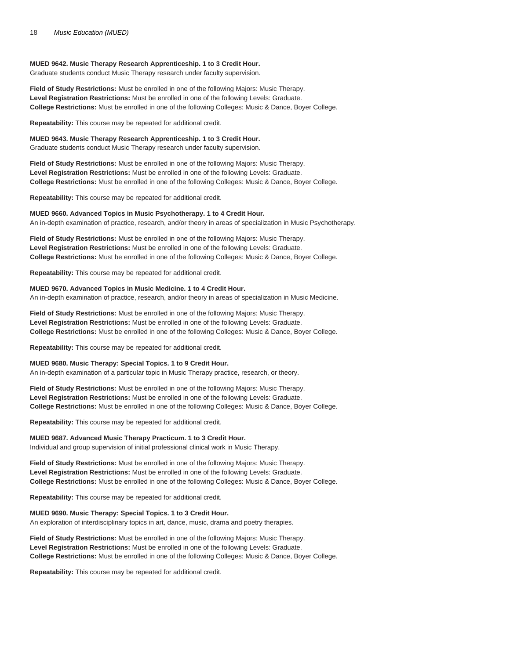## **MUED 9642. Music Therapy Research Apprenticeship. 1 to 3 Credit Hour.**

Graduate students conduct Music Therapy research under faculty supervision.

**Field of Study Restrictions:** Must be enrolled in one of the following Majors: Music Therapy. **Level Registration Restrictions:** Must be enrolled in one of the following Levels: Graduate. **College Restrictions:** Must be enrolled in one of the following Colleges: Music & Dance, Boyer College.

**Repeatability:** This course may be repeated for additional credit.

**MUED 9643. Music Therapy Research Apprenticeship. 1 to 3 Credit Hour.**

Graduate students conduct Music Therapy research under faculty supervision.

**Field of Study Restrictions:** Must be enrolled in one of the following Majors: Music Therapy. **Level Registration Restrictions:** Must be enrolled in one of the following Levels: Graduate. **College Restrictions:** Must be enrolled in one of the following Colleges: Music & Dance, Boyer College.

**Repeatability:** This course may be repeated for additional credit.

## **MUED 9660. Advanced Topics in Music Psychotherapy. 1 to 4 Credit Hour.**

An in-depth examination of practice, research, and/or theory in areas of specialization in Music Psychotherapy.

**Field of Study Restrictions:** Must be enrolled in one of the following Majors: Music Therapy. **Level Registration Restrictions:** Must be enrolled in one of the following Levels: Graduate. **College Restrictions:** Must be enrolled in one of the following Colleges: Music & Dance, Boyer College.

**Repeatability:** This course may be repeated for additional credit.

# **MUED 9670. Advanced Topics in Music Medicine. 1 to 4 Credit Hour.**

An in-depth examination of practice, research, and/or theory in areas of specialization in Music Medicine.

**Field of Study Restrictions:** Must be enrolled in one of the following Majors: Music Therapy. **Level Registration Restrictions:** Must be enrolled in one of the following Levels: Graduate. **College Restrictions:** Must be enrolled in one of the following Colleges: Music & Dance, Boyer College.

**Repeatability:** This course may be repeated for additional credit.

# **MUED 9680. Music Therapy: Special Topics. 1 to 9 Credit Hour.**

An in-depth examination of a particular topic in Music Therapy practice, research, or theory.

**Field of Study Restrictions:** Must be enrolled in one of the following Majors: Music Therapy. **Level Registration Restrictions:** Must be enrolled in one of the following Levels: Graduate. **College Restrictions:** Must be enrolled in one of the following Colleges: Music & Dance, Boyer College.

**Repeatability:** This course may be repeated for additional credit.

## **MUED 9687. Advanced Music Therapy Practicum. 1 to 3 Credit Hour.**

Individual and group supervision of initial professional clinical work in Music Therapy.

**Field of Study Restrictions:** Must be enrolled in one of the following Majors: Music Therapy. **Level Registration Restrictions:** Must be enrolled in one of the following Levels: Graduate. **College Restrictions:** Must be enrolled in one of the following Colleges: Music & Dance, Boyer College.

**Repeatability:** This course may be repeated for additional credit.

## **MUED 9690. Music Therapy: Special Topics. 1 to 3 Credit Hour.**

An exploration of interdisciplinary topics in art, dance, music, drama and poetry therapies.

**Field of Study Restrictions:** Must be enrolled in one of the following Majors: Music Therapy. **Level Registration Restrictions:** Must be enrolled in one of the following Levels: Graduate. **College Restrictions:** Must be enrolled in one of the following Colleges: Music & Dance, Boyer College.